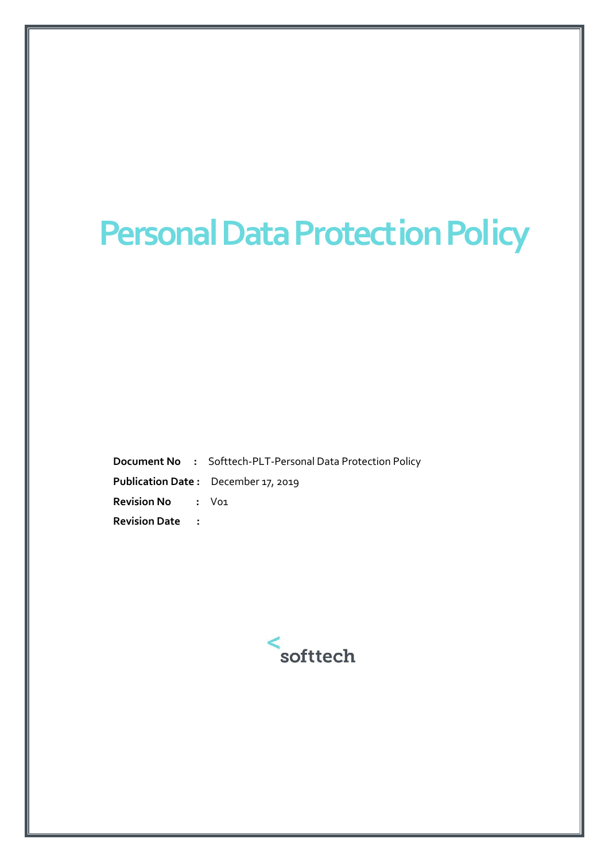## **Personal Data Protection Policy**

**Document No :** Softtech-PLT-Personal Data Protection Policy **Publication Date :** December 17, 2019 **Revision No :** V01 **Revision Date :** 

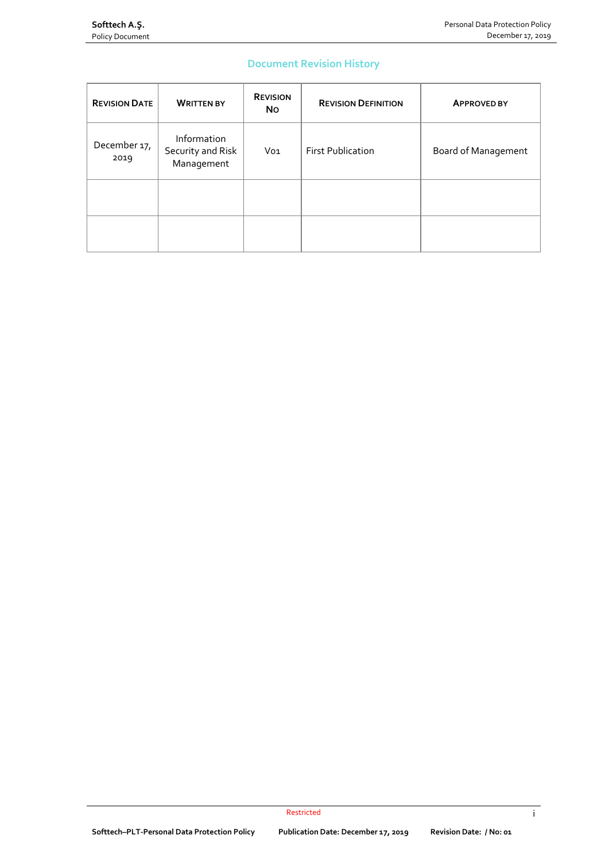## **Document Revision History**

| <b>REVISION DATE</b> | <b>WRITTEN BY</b>                              | <b>REVISION</b><br><b>No</b> | <b>REVISION DEFINITION</b> | <b>APPROVED BY</b>  |
|----------------------|------------------------------------------------|------------------------------|----------------------------|---------------------|
| December 17,<br>2019 | Information<br>Security and Risk<br>Management | Vo <sub>1</sub>              | <b>First Publication</b>   | Board of Management |
|                      |                                                |                              |                            |                     |
|                      |                                                |                              |                            |                     |